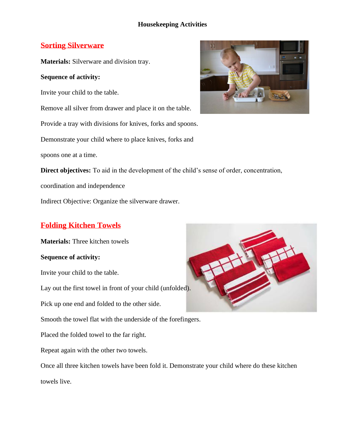### **Sorting Silverware**

**Materials:** Silverware and division tray.

### **Sequence of activity:**

Invite your child to the table.

Remove all silver from drawer and place it on the table.

Provide a tray with divisions for knives, forks and spoons.

Demonstrate your child where to place knives, forks and

spoons one at a time.



**Direct objectives:** To aid in the development of the child's sense of order, concentration,

coordination and independence

Indirect Objective: Organize the silverware drawer.

# **Folding Kitchen Towels**

**Materials:** Three kitchen towels

#### **Sequence of activity:**

Invite your child to the table.

Lay out the first towel in front of your child (unfolded).

Pick up one end and folded to the other side.

Smooth the towel flat with the underside of the forefingers.

Placed the folded towel to the far right.

Repeat again with the other two towels.

Once all three kitchen towels have been fold it. Demonstrate your child where do these kitchen towels live.

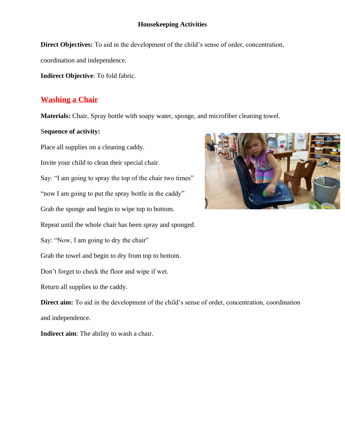**Direct Objectives:** To aid in the development of the child's sense of order, concentration,

coordination and independence.

**Indirect Objective**: To fold fabric.

### **Washing a Chair**

**Materials:** Chair, Spray bottle with soapy water, sponge, and microfiber cleaning towel.

#### S**equence of activity:**

Place all supplies on a cleaning caddy.

Invite your child to clean their special chair.

Say: "I am going to spray the top of the chair two times"

"now I am going to put the spray bottle in the caddy"

Grab the sponge and begin to wipe top to bottom.

Repeat until the whole chair has been spray and sponged.

Say: "Now, I am going to dry the chair"

Grab the towel and begin to dry from top to bottom.

Don't forget to check the floor and wipe if wet.

Return all supplies to the caddy.

**Direct aim:** To aid in the development of the child's sense of order, concentration, coordination and independence.

**Indirect aim**: The ability to wash a chair.

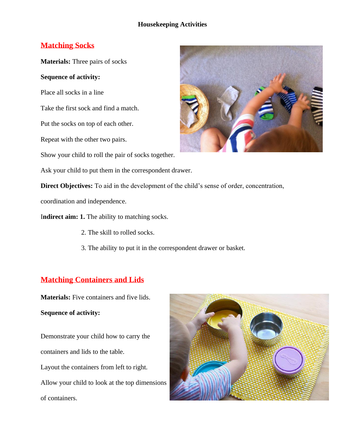## **Matching Socks**

**Materials:** Three pairs of socks

#### **Sequence of activity:**

Place all socks in a line

Take the first sock and find a match.

Put the socks on top of each other.

Repeat with the other two pairs.

Show your child to roll the pair of socks together.

Ask your child to put them in the correspondent drawer.

**Direct Objectives:** To aid in the development of the child's sense of order, concentration,

coordination and independence.

I**ndirect aim: 1.** The ability to matching socks.

- 2. The skill to rolled socks.
- 3. The ability to put it in the correspondent drawer or basket.

## **Matching Containers and Lids**

**Materials:** Five containers and five lids.

#### **Sequence of activity:**

Demonstrate your child how to carry the containers and lids to the table. Layout the containers from left to right. Allow your child to look at the top dimensions of containers.



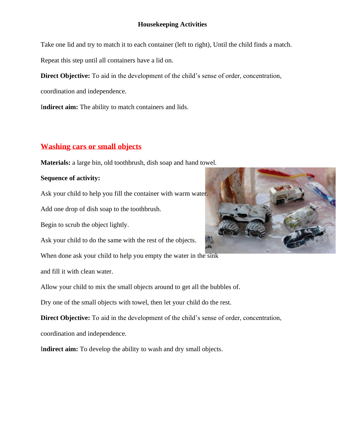Take one lid and try to match it to each container (left to right), Until the child finds a match.

Repeat this step until all containers have a lid on.

**Direct Objective:** To aid in the development of the child's sense of order, concentration,

coordination and independence.

I**ndirect aim:** The ability to match containers and lids.

## **Washing cars or small objects**

**Materials:** a large bin, old toothbrush, dish soap and hand towel.

#### **Sequence of activity:**

Ask your child to help you fill the container with warm water.

Add one drop of dish soap to the toothbrush.

Begin to scrub the object lightly.

Ask your child to do the same with the rest of the objects.

When done ask your child to help you empty the water in the sink

and fill it with clean water.

Allow your child to mix the small objects around to get all the bubbles of.

Dry one of the small objects with towel, then let your child do the rest.

**Direct Objective:** To aid in the development of the child's sense of order, concentration, coordination and independence.

I**ndirect aim:** To develop the ability to wash and dry small objects.

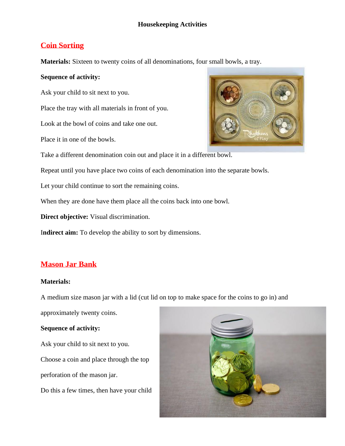# **Coin Sorting**

**Materials:** Sixteen to twenty coins of all denominations, four small bowls, a tray.

### **Sequence of activity:**

Ask your child to sit next to you.

Place the tray with all materials in front of you.

Look at the bowl of coins and take one out.

Place it in one of the bowls.

Take a different denomination coin out and place it in a different bowl.

Repeat until you have place two coins of each denomination into the separate bowls.

Let your child continue to sort the remaining coins.

When they are done have them place all the coins back into one bowl.

**Direct objective:** Visual discrimination.

I**ndirect aim:** To develop the ability to sort by dimensions.

# **Mason Jar Bank**

#### **Materials:**

A medium size mason jar with a lid (cut lid on top to make space for the coins to go in) and

approximately twenty coins.

#### **Sequence of activity:**

Ask your child to sit next to you. Choose a coin and place through the top perforation of the mason jar.

Do this a few times, then have your child



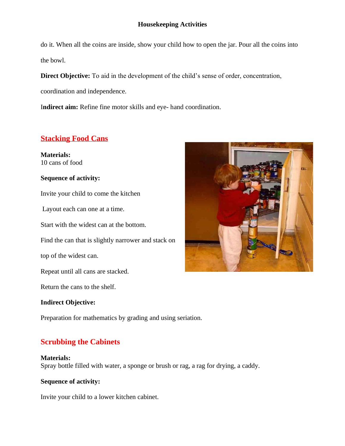do it. When all the coins are inside, show your child how to open the jar. Pour all the coins into the bowl.

**Direct Objective:** To aid in the development of the child's sense of order, concentration,

coordination and independence.

I**ndirect aim:** Refine fine motor skills and eye- hand coordination.

# **Stacking Food Cans**

**Materials:** 10 cans of food

### **Sequence of activity:**

Invite your child to come the kitchen

Layout each can one at a time.

Start with the widest can at the bottom.

Find the can that is slightly narrower and stack on

top of the widest can.

Repeat until all cans are stacked.

Return the cans to the shelf.

#### **Indirect Objective:**

Preparation for mathematics by grading and using seriation.

# **Scrubbing the Cabinets**

**Materials:**

Spray bottle filled with water, a sponge or brush or rag, a rag for drying, a caddy.

#### **Sequence of activity:**

Invite your child to a lower kitchen cabinet.

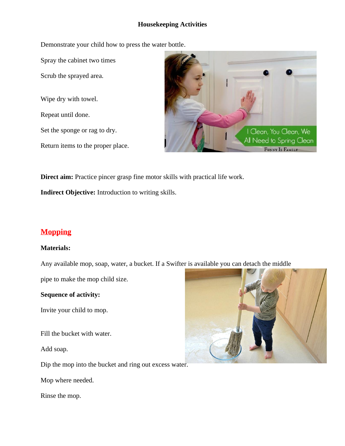Demonstrate your child how to press the water bottle.

Spray the cabinet two times

Scrub the sprayed area.

Wipe dry with towel. Repeat until done. Set the sponge or rag to dry.

Return items to the proper place.



**Direct aim:** Practice pincer grasp fine motor skills with practical life work.

**Indirect Objective:** Introduction to writing skills.

# **Mopping**

#### **Materials:**

Any available mop, soap, water, a bucket. If a Swifter is available you can detach the middle

pipe to make the mop child size.

#### **Sequence of activity:**

Invite your child to mop.

Fill the bucket with water.

Add soap.

Dip the mop into the bucket and ring out excess water.

Mop where needed.

Rinse the mop.